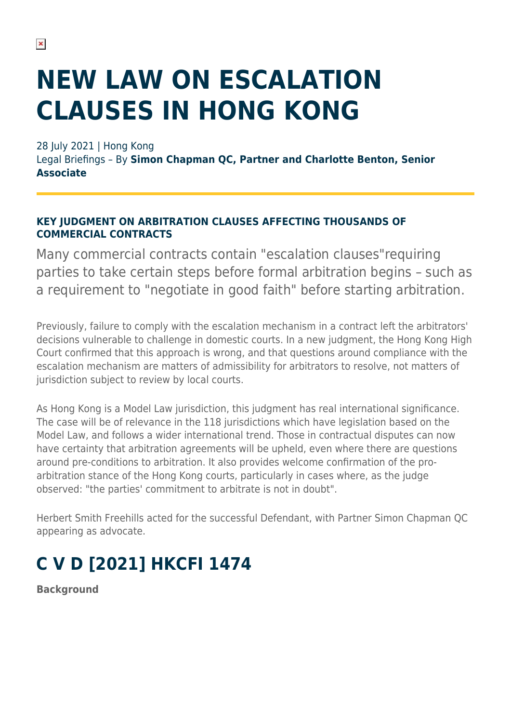# **NEW LAW ON ESCALATION CLAUSES IN HONG KONG**

28 July 2021 | Hong Kong

Legal Briefings – By **Simon Chapman QC, Partner and Charlotte Benton, Senior Associate**

#### **KEY JUDGMENT ON ARBITRATION CLAUSES AFFECTING THOUSANDS OF COMMERCIAL CONTRACTS**

Many commercial contracts contain "escalation clauses"requiring parties to take certain steps before formal arbitration begins – such as a requirement to "negotiate in good faith" before starting arbitration.

Previously, failure to comply with the escalation mechanism in a contract left the arbitrators' decisions vulnerable to challenge in domestic courts. In a new judgment, the Hong Kong High Court confirmed that this approach is wrong, and that questions around compliance with the escalation mechanism are matters of admissibility for arbitrators to resolve, not matters of jurisdiction subject to review by local courts.

As Hong Kong is a Model Law jurisdiction, this judgment has real international significance. The case will be of relevance in the 118 jurisdictions which have legislation based on the Model Law, and follows a wider international trend. Those in contractual disputes can now have certainty that arbitration agreements will be upheld, even where there are questions around pre-conditions to arbitration. It also provides welcome confirmation of the proarbitration stance of the Hong Kong courts, particularly in cases where, as the judge observed: "the parties' commitment to arbitrate is not in doubt".

Herbert Smith Freehills acted for the successful Defendant, with Partner Simon Chapman QC appearing as advocate.

## **C V D [2021] HKCFI 1474**

**Background**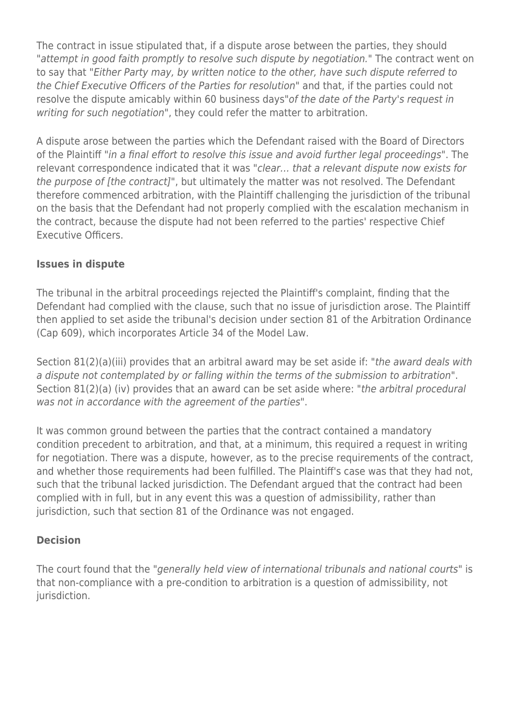The contract in issue stipulated that, if a dispute arose between the parties, they should "attempt in good faith promptly to resolve such dispute by negotiation." The contract went on to say that "Either Party may, by written notice to the other, have such dispute referred to the Chief Executive Officers of the Parties for resolution" and that, if the parties could not resolve the dispute amicably within 60 business days"of the date of the Party's request in writing for such negotiation", they could refer the matter to arbitration.

A dispute arose between the parties which the Defendant raised with the Board of Directors of the Plaintiff "in a final effort to resolve this issue and avoid further legal proceedings". The relevant correspondence indicated that it was "clear… that a relevant dispute now exists for the purpose of [the contract]", but ultimately the matter was not resolved. The Defendant therefore commenced arbitration, with the Plaintiff challenging the jurisdiction of the tribunal on the basis that the Defendant had not properly complied with the escalation mechanism in the contract, because the dispute had not been referred to the parties' respective Chief Executive Officers.

#### **Issues in dispute**

The tribunal in the arbitral proceedings rejected the Plaintiff's complaint, finding that the Defendant had complied with the clause, such that no issue of jurisdiction arose. The Plaintiff then applied to set aside the tribunal's decision under section 81 of the Arbitration Ordinance (Cap 609), which incorporates Article 34 of the Model Law.

Section 81(2)(a)(iii) provides that an arbitral award may be set aside if: "the award deals with a dispute not contemplated by or falling within the terms of the submission to arbitration". Section 81(2)(a) (iv) provides that an award can be set aside where: "the arbitral procedural was not in accordance with the agreement of the parties".

It was common ground between the parties that the contract contained a mandatory condition precedent to arbitration, and that, at a minimum, this required a request in writing for negotiation. There was a dispute, however, as to the precise requirements of the contract, and whether those requirements had been fulfilled. The Plaintiff's case was that they had not, such that the tribunal lacked jurisdiction. The Defendant argued that the contract had been complied with in full, but in any event this was a question of admissibility, rather than jurisdiction, such that section 81 of the Ordinance was not engaged.

### **Decision**

The court found that the "generally held view of international tribunals and national courts" is that non-compliance with a pre-condition to arbitration is a question of admissibility, not jurisdiction.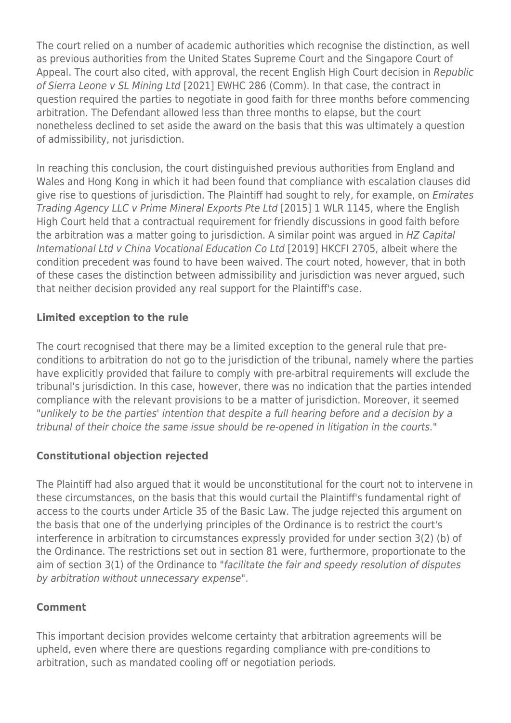The court relied on a number of academic authorities which recognise the distinction, as well as previous authorities from the United States Supreme Court and the Singapore Court of Appeal. The court also cited, with approval, the recent English High Court decision in Republic of Sierra Leone v SL Mining Ltd [2021] EWHC 286 (Comm). In that case, the contract in question required the parties to negotiate in good faith for three months before commencing arbitration. The Defendant allowed less than three months to elapse, but the court nonetheless declined to set aside the award on the basis that this was ultimately a question of admissibility, not jurisdiction.

In reaching this conclusion, the court distinguished previous authorities from England and Wales and Hong Kong in which it had been found that compliance with escalation clauses did give rise to questions of jurisdiction. The Plaintiff had sought to rely, for example, on Emirates Trading Agency LLC v Prime Mineral Exports Pte Ltd [2015] 1 WLR 1145, where the English High Court held that a contractual requirement for friendly discussions in good faith before the arbitration was a matter going to jurisdiction. A similar point was argued in HZ Capital International Ltd v China Vocational Education Co Ltd [2019] HKCFI 2705, albeit where the condition precedent was found to have been waived. The court noted, however, that in both of these cases the distinction between admissibility and jurisdiction was never argued, such that neither decision provided any real support for the Plaintiff's case.

### **Limited exception to the rule**

The court recognised that there may be a limited exception to the general rule that preconditions to arbitration do not go to the jurisdiction of the tribunal, namely where the parties have explicitly provided that failure to comply with pre-arbitral requirements will exclude the tribunal's jurisdiction. In this case, however, there was no indication that the parties intended compliance with the relevant provisions to be a matter of jurisdiction. Moreover, it seemed "unlikely to be the parties' intention that despite a full hearing before and a decision by a tribunal of their choice the same issue should be re-opened in litigation in the courts."

### **Constitutional objection rejected**

The Plaintiff had also argued that it would be unconstitutional for the court not to intervene in these circumstances, on the basis that this would curtail the Plaintiff's fundamental right of access to the courts under Article 35 of the Basic Law. The judge rejected this argument on the basis that one of the underlying principles of the Ordinance is to restrict the court's interference in arbitration to circumstances expressly provided for under section 3(2) (b) of the Ordinance. The restrictions set out in section 81 were, furthermore, proportionate to the aim of section 3(1) of the Ordinance to "facilitate the fair and speedy resolution of disputes by arbitration without unnecessary expense".

#### **Comment**

This important decision provides welcome certainty that arbitration agreements will be upheld, even where there are questions regarding compliance with pre-conditions to arbitration, such as mandated cooling off or negotiation periods.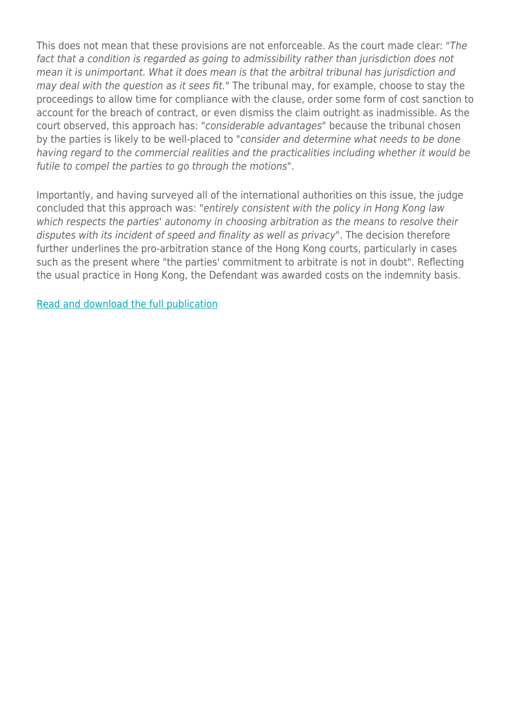This does not mean that these provisions are not enforceable. As the court made clear: "The fact that a condition is regarded as going to admissibility rather than jurisdiction does not mean it is unimportant. What it does mean is that the arbitral tribunal has jurisdiction and may deal with the question as it sees fit." The tribunal may, for example, choose to stay the proceedings to allow time for compliance with the clause, order some form of cost sanction to account for the breach of contract, or even dismiss the claim outright as inadmissible. As the court observed, this approach has: "considerable advantages" because the tribunal chosen by the parties is likely to be well-placed to "consider and determine what needs to be done having regard to the commercial realities and the practicalities including whether it would be futile to compel the parties to go through the motions".

Importantly, and having surveyed all of the international authorities on this issue, the judge concluded that this approach was: "entirely consistent with the policy in Hong Kong law which respects the parties' autonomy in choosing arbitration as the means to resolve their disputes with its incident of speed and finality as well as privacy". The decision therefore further underlines the pro-arbitration stance of the Hong Kong courts, particularly in cases such as the present where "the parties' commitment to arbitrate is not in doubt". Reflecting the usual practice in Hong Kong, the Defendant was awarded costs on the indemnity basis.

[Read and download the full publication](https://www.herbertsmithfreehills.com/latest-thinking/inside-arbitration-issue-12)